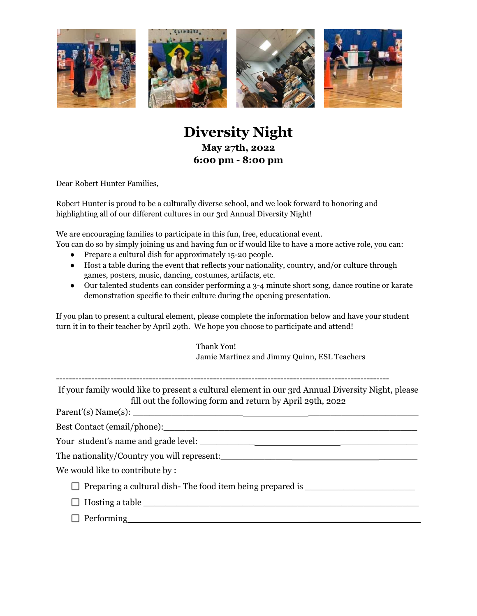



## **Diversity Night May 27th, 2022 6:00 pm - 8:00 pm**

Dear Robert Hunter Families,

Robert Hunter is proud to be a culturally diverse school, and we look forward to honoring and highlighting all of our different cultures in our 3rd Annual Diversity Night!

We are encouraging families to participate in this fun, free, educational event.

You can do so by simply joining us and having fun or if would like to have a more active role, you can:

- Prepare a cultural dish for approximately 15-20 people.
- Host a table during the event that reflects your nationality, country, and/or culture through games, posters, music, dancing, costumes, artifacts, etc.
- Our talented students can consider performing a 3-4 minute short song, dance routine or karate demonstration specific to their culture during the opening presentation.

If you plan to present a cultural element, please complete the information below and have your student turn it in to their teacher by April 29th. We hope you choose to participate and attend!

| Thank You!                                   |
|----------------------------------------------|
| Jamie Martinez and Jimmy Quinn, ESL Teachers |

If your family would like to present a cultural element in our 3rd Annual Diversity Night, please fill out the following form and return by April 29th, 2022

 $Parent'(s) Name(s):$ 

Best Contact (email/phone):\_\_\_\_\_\_\_\_\_\_\_\_\_\_ \_\_\_\_\_\_\_\_\_\_\_\_\_\_\_\_

Your student's name and grade level:

The nationality/Country you will represent:

We would like to contribute by :

- $\Box$  Preparing a cultural dish-The food item being prepared is  $\Box$
- $\Box$  Hosting a table
- $\Box$  Performing